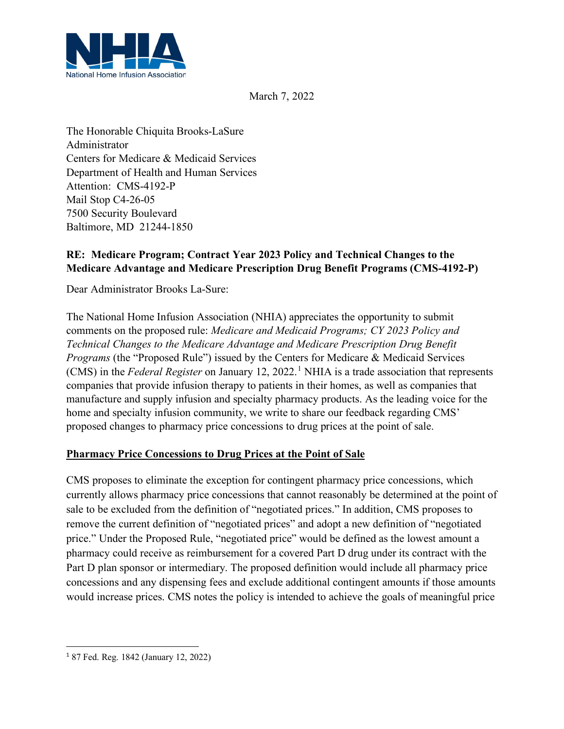

March 7, 2022

The Honorable Chiquita Brooks-LaSure Administrator Centers for Medicare & Medicaid Services Department of Health and Human Services Attention: CMS-4192-P Mail Stop C4-26-05 7500 Security Boulevard Baltimore, MD 21244-1850

## **RE: Medicare Program; Contract Year 2023 Policy and Technical Changes to the Medicare Advantage and Medicare Prescription Drug Benefit Programs (CMS-4192-P)**

Dear Administrator Brooks La-Sure:

The National Home Infusion Association (NHIA) appreciates the opportunity to submit comments on the proposed rule: *Medicare and Medicaid Programs; CY 2023 Policy and Technical Changes to the Medicare Advantage and Medicare Prescription Drug Benefit Programs* (the "Proposed Rule") issued by the Centers for Medicare & Medicaid Services (CMS) in the *Federal Register* on January 12, 2022. [1](#page-0-0) NHIA is a trade association that represents companies that provide infusion therapy to patients in their homes, as well as companies that manufacture and supply infusion and specialty pharmacy products. As the leading voice for the home and specialty infusion community, we write to share our feedback regarding CMS' proposed changes to pharmacy price concessions to drug prices at the point of sale.

## **Pharmacy Price Concessions to Drug Prices at the Point of Sale**

CMS proposes to eliminate the exception for contingent pharmacy price concessions, which currently allows pharmacy price concessions that cannot reasonably be determined at the point of sale to be excluded from the definition of "negotiated prices." In addition, CMS proposes to remove the current definition of "negotiated prices" and adopt a new definition of "negotiated price." Under the Proposed Rule, "negotiated price" would be defined as the lowest amount a pharmacy could receive as reimbursement for a covered Part D drug under its contract with the Part D plan sponsor or intermediary. The proposed definition would include all pharmacy price concessions and any dispensing fees and exclude additional contingent amounts if those amounts would increase prices. CMS notes the policy is intended to achieve the goals of meaningful price

<span id="page-0-0"></span><sup>1</sup> 87 Fed. Reg. 1842 (January 12, 2022)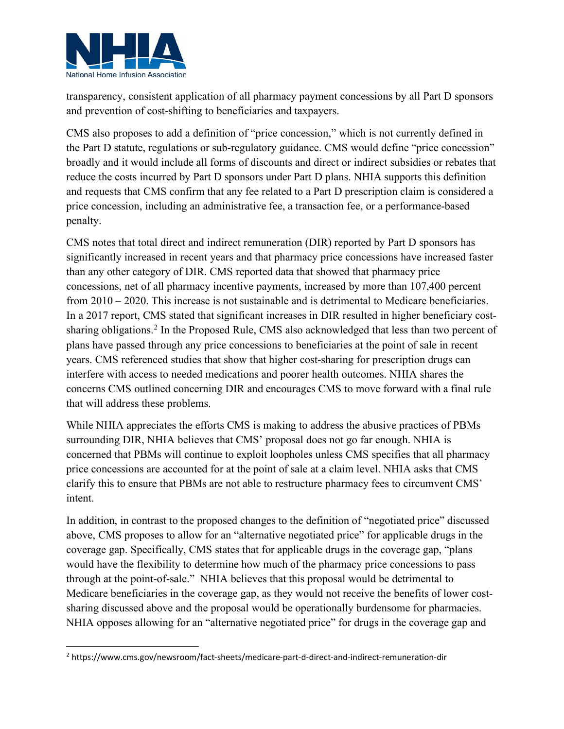

transparency, consistent application of all pharmacy payment concessions by all Part D sponsors and prevention of cost-shifting to beneficiaries and taxpayers.

CMS also proposes to add a definition of "price concession," which is not currently defined in the Part D statute, regulations or sub-regulatory guidance. CMS would define "price concession" broadly and it would include all forms of discounts and direct or indirect subsidies or rebates that reduce the costs incurred by Part D sponsors under Part D plans. NHIA supports this definition and requests that CMS confirm that any fee related to a Part D prescription claim is considered a price concession, including an administrative fee, a transaction fee, or a performance-based penalty.

CMS notes that total direct and indirect remuneration (DIR) reported by Part D sponsors has significantly increased in recent years and that pharmacy price concessions have increased faster than any other category of DIR. CMS reported data that showed that pharmacy price concessions, net of all pharmacy incentive payments, increased by more than 107,400 percent from 2010 – 2020. This increase is not sustainable and is detrimental to Medicare beneficiaries. In a 2017 report, CMS stated that significant increases in DIR resulted in higher beneficiary cost-sharing obligations.<sup>[2](#page-1-0)</sup> In the Proposed Rule, CMS also acknowledged that less than two percent of plans have passed through any price concessions to beneficiaries at the point of sale in recent years. CMS referenced studies that show that higher cost-sharing for prescription drugs can interfere with access to needed medications and poorer health outcomes. NHIA shares the concerns CMS outlined concerning DIR and encourages CMS to move forward with a final rule that will address these problems.

While NHIA appreciates the efforts CMS is making to address the abusive practices of PBMs surrounding DIR, NHIA believes that CMS' proposal does not go far enough. NHIA is concerned that PBMs will continue to exploit loopholes unless CMS specifies that all pharmacy price concessions are accounted for at the point of sale at a claim level. NHIA asks that CMS clarify this to ensure that PBMs are not able to restructure pharmacy fees to circumvent CMS' intent.

In addition, in contrast to the proposed changes to the definition of "negotiated price" discussed above, CMS proposes to allow for an "alternative negotiated price" for applicable drugs in the coverage gap. Specifically, CMS states that for applicable drugs in the coverage gap, "plans would have the flexibility to determine how much of the pharmacy price concessions to pass through at the point-of-sale." NHIA believes that this proposal would be detrimental to Medicare beneficiaries in the coverage gap, as they would not receive the benefits of lower costsharing discussed above and the proposal would be operationally burdensome for pharmacies. NHIA opposes allowing for an "alternative negotiated price" for drugs in the coverage gap and

<span id="page-1-0"></span><sup>2</sup> https://www.cms.gov/newsroom/fact-sheets/medicare-part-d-direct-and-indirect-remuneration-dir